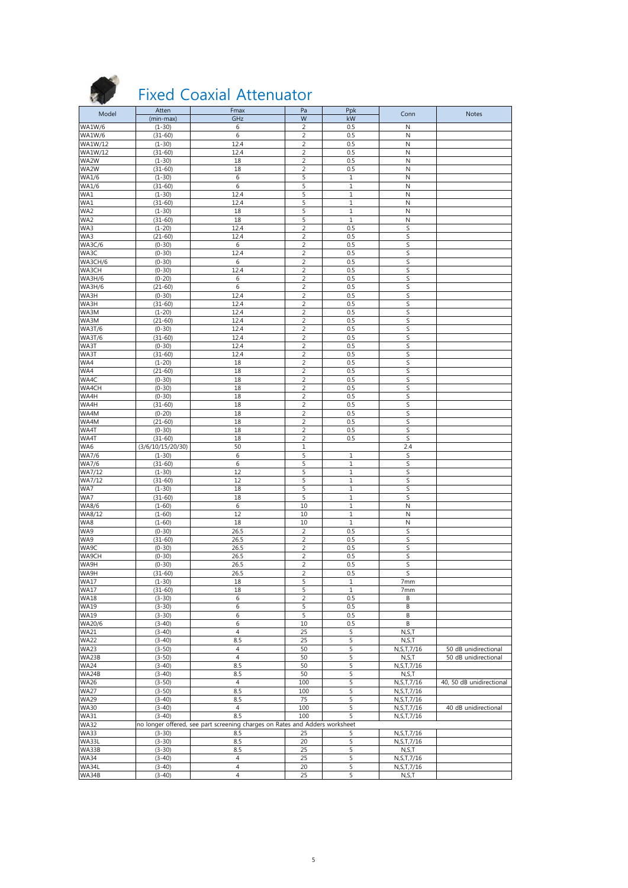

### Fixed Coaxial Attenuator

| Model                            | Atten                  | Fmax                                                                        | Pa                               | Ppk                  | Conn                           | <b>Notes</b>             |
|----------------------------------|------------------------|-----------------------------------------------------------------------------|----------------------------------|----------------------|--------------------------------|--------------------------|
|                                  | (min-max)              | GHz                                                                         | W                                | kW                   |                                |                          |
| <b>WA1W/6</b>                    | $(1-30)$               | 6                                                                           | 2                                | 0.5                  | N                              |                          |
| <b>WA1W/6</b>                    | $(31-60)$              | 6                                                                           | $\overline{c}$                   | 0.5                  | $\mathsf{N}$                   |                          |
| <b>WA1W/12</b><br><b>WA1W/12</b> | $(1-30)$               | 12.4<br>12.4                                                                | 2<br>2                           | 0.5                  | $\mathsf{N}$                   |                          |
| WA2W                             | $(31-60)$<br>$(1-30)$  | 18                                                                          | $\overline{c}$                   | 0.5<br>0.5           | N<br>$\mathsf{N}$              |                          |
| WA2W                             | $(31 - 60)$            | 18                                                                          | $\overline{2}$                   | 0.5                  | N                              |                          |
| <b>WA1/6</b>                     | $(1-30)$               | 6                                                                           | 5                                | $\mathbf{1}$         | N                              |                          |
| WA1/6                            | $(31-60)$              | 6                                                                           | 5                                | $\mathbf{1}$         | $\mathsf{N}$                   |                          |
| WA1                              | $(1 - 30)$             | 12.4                                                                        | 5                                | $\mathbf 1$          | N                              |                          |
| WA1                              | $(31-60)$              | 12.4                                                                        | 5                                | $1\,$                | N                              |                          |
| WA2                              | $(1-30)$               | 18                                                                          | 5                                | $1\,$                | $\mathsf{N}$                   |                          |
| WA2                              | $(31 - 60)$            | 18                                                                          | 5                                | $\mathbf{1}$         | N                              |                          |
| WA3                              | $(1-20)$               | 12.4                                                                        | $\overline{2}$                   | 0.5                  | S                              |                          |
| WA3                              | $(21-60)$              | 12.4                                                                        | 2                                | 0.5                  | S                              |                          |
| <b>WA3C/6</b>                    | $(0-30)$               | 6                                                                           | $\overline{c}$                   | 0.5                  | S                              |                          |
| WA3C                             | $(0-30)$               | 12.4                                                                        | $\overline{2}$                   | 0.5                  | S                              |                          |
| WA3CH/6                          | $(0-30)$               | 6                                                                           | 2                                | 0.5                  | S                              |                          |
| WA3CH                            | $(0-30)$               | 12.4                                                                        | $\overline{2}$                   | 0.5                  | S                              |                          |
| <b>WA3H/6</b><br><b>WA3H/6</b>   | $(0-20)$<br>$(21-60)$  | 6<br>6                                                                      | $\overline{2}$<br>$\overline{2}$ | 0.5<br>0.5           | S<br>S                         |                          |
| WA3H                             | $(0-30)$               | 12.4                                                                        | $\overline{2}$                   | 0.5                  | S                              |                          |
| WA3H                             | $(31-60)$              | 12.4                                                                        | 2                                | 0.5                  | S                              |                          |
| WA3M                             | $(1-20)$               | 12.4                                                                        | $\overline{2}$                   | 0.5                  | S                              |                          |
| WA3M                             | $(21-60)$              | 12.4                                                                        | $\overline{2}$                   | 0.5                  | S                              |                          |
| <b>WA3T/6</b>                    | $(0-30)$               | 12.4                                                                        | 2                                | 0.5                  | S                              |                          |
| <b>WA3T/6</b>                    | $(31 - 60)$            | 12.4                                                                        | $\overline{2}$                   | 0.5                  | S                              |                          |
| WA3T                             | $(0-30)$               | 12.4                                                                        | $\overline{c}$                   | 0.5                  | S                              |                          |
| WA3T                             | $(31-60)$              | 12.4                                                                        | $\overline{2}$                   | 0.5                  | S                              |                          |
| WA4                              | $(1-20)$               | 18                                                                          | $\overline{2}$                   | 0.5                  | S                              |                          |
| WA4                              | $(21-60)$              | 18                                                                          | $\overline{c}$                   | 0.5                  | S                              |                          |
| WA4C<br>WA4CH                    | $(0-30)$<br>$(0-30)$   | 18<br>18                                                                    | 2<br>$\overline{2}$              | 0.5<br>0.5           | S<br>S                         |                          |
| WA4H                             | $(0-30)$               | 18                                                                          | $\overline{2}$                   | 0.5                  | S                              |                          |
| WA4H                             | $(31-60)$              | 18                                                                          | $\overline{2}$                   | 0.5                  | S                              |                          |
| WA4M                             | $(0-20)$               | 18                                                                          | $\overline{2}$                   | 0.5                  | S                              |                          |
| WA4M                             | $(21-60)$              | 18                                                                          | $\overline{2}$                   | 0.5                  | S                              |                          |
| WA4T                             | $(0-30)$               | 18                                                                          | $\overline{2}$                   | 0.5                  | S                              |                          |
| WA4T                             | $(31-60)$              | 18                                                                          | $\overline{2}$                   | 0.5                  | S                              |                          |
|                                  |                        |                                                                             |                                  |                      |                                |                          |
| WA6                              | (3/6/10/15/20/30)      | 50                                                                          | $\mathbf 1$                      |                      | 2.4                            |                          |
| <b>WA7/6</b>                     | $(1 - 30)$             | 6                                                                           | 5                                | 1                    | S                              |                          |
| <b>WA7/6</b>                     | $(31 - 60)$            | 6                                                                           | 5                                | $\mathbf{1}$         | S                              |                          |
| WA7/12                           | $(1-30)$               | 12                                                                          | 5                                | $1\,$                | S                              |                          |
| WA7/12                           | $(31-60)$              | 12                                                                          | 5                                | $\mathbf 1$          | S                              |                          |
| WA7                              | $(1 - 30)$             | 18                                                                          | 5                                | $\mathbf{1}$         | S                              |                          |
| WA7<br>WA8/6                     | $(31-60)$<br>$(1-60)$  | 18<br>$\,6\,$                                                               | 5<br>10                          | $1\,$<br>$\mathbf 1$ | S<br>N                         |                          |
| WA8/12                           | $(1-60)$               | 12                                                                          | 10                               | $\mathbf{1}$         | N                              |                          |
| WA8                              | $(1-60)$               | 18                                                                          | 10                               | $1\,$                | N                              |                          |
| WA9                              | $(0-30)$               | 26.5                                                                        | $\overline{2}$                   | 0.5                  | S                              |                          |
| WA9                              | $(31-60)$              | 26.5                                                                        | 2                                | 0.5                  | S                              |                          |
| WA9C                             | $(0-30)$               | 26.5                                                                        | $\overline{2}$                   | 0.5                  | S                              |                          |
| WA9CH                            | $(0-30)$               | 26.5                                                                        | 2                                | 0.5                  | S                              |                          |
| WA9H                             | $(0-30)$               | 26.5                                                                        | 2                                | 0.5                  | S                              |                          |
| WA9H                             | $(31-60)$              | 26.5                                                                        | $\overline{2}$                   | 0.5                  | S                              |                          |
| WA1/                             | (1-30)                 | 18                                                                          | ל                                | 1                    | /mm                            |                          |
| <b>WA17</b>                      | $(31-60)$              | 18                                                                          | 5                                | $1\,$                | 7mm                            |                          |
| <b>WA18</b><br><b>WA19</b>       | $(3-30)$<br>$(3 - 30)$ | 6<br>6                                                                      | 2<br>5                           | 0.5<br>0.5           | В<br>В                         |                          |
| <b>WA19</b>                      | $(3 - 30)$             | 6                                                                           | 5                                | 0.5                  | В                              |                          |
| WA20/6                           | $(3-40)$               | 6                                                                           | 10                               | 0.5                  | В                              |                          |
| <b>WA21</b>                      | $(3-40)$               | $\overline{4}$                                                              | 25                               | 5                    | N, S, T                        |                          |
| <b>WA22</b>                      | $(3-40)$               | 8.5                                                                         | 25                               | 5                    | N, S, T                        |                          |
| <b>WA23</b>                      | $(3 - 50)$             | $\overline{4}$                                                              | 50                               | 5                    | N, S, T, 7/16                  | 50 dB unidirectional     |
| WA23B                            | $(3 - 50)$             | $\overline{4}$                                                              | 50                               | 5                    | N, S, T                        | 50 dB unidirectional     |
| <b>WA24</b>                      | $(3-40)$               | 8.5                                                                         | 50                               | 5                    | N, S, T, 7/16                  |                          |
| WA24B                            | $(3-40)$               | 8.5                                                                         | 50                               | 5                    | N, S, T                        |                          |
| <b>WA26</b>                      | $(3 - 50)$             | $\overline{4}$                                                              | 100                              | 5                    | N, S, T, 7/16                  | 40, 50 dB unidirectional |
| <b>WA27</b>                      | $(3 - 50)$             | 8.5                                                                         | 100                              | 5                    | N, S, T, 7/16                  |                          |
| <b>WA29</b><br><b>WA30</b>       | $(3-40)$<br>$(3-40)$   | 8.5<br>$\overline{4}$                                                       | 75<br>100                        | 5<br>5               | N, S, T, 7/16<br>N, S, T, 7/16 | 40 dB unidirectional     |
| <b>WA31</b>                      | $(3-40)$               | 8.5                                                                         | 100                              | 5                    | N, S, T, 7/16                  |                          |
| <b>WA32</b>                      |                        | no longer offered, see part screening charges on Rates and Adders worksheet |                                  |                      |                                |                          |
| <b>WA33</b>                      | $(3-30)$               | 8.5                                                                         | 25                               | 5                    | N, S, T, 7/16                  |                          |
| WA33L                            | $(3 - 30)$             | 8.5                                                                         | 20                               | 5                    | N, S, T, 7/16                  |                          |
| WA33B                            | $(3 - 30)$             | 8.5                                                                         | 25                               | 5                    | N, S, T                        |                          |
| <b>WA34</b>                      | $(3-40)$               | 4                                                                           | 25                               | 5                    | N, S, T, 7/16                  |                          |
| WA34L<br>WA34B                   | $(3-40)$<br>$(3-40)$   | $\overline{4}$<br>$\overline{4}$                                            | 20<br>25                         | 5<br>5               | N, S, T, 7/16<br>N, S, T       |                          |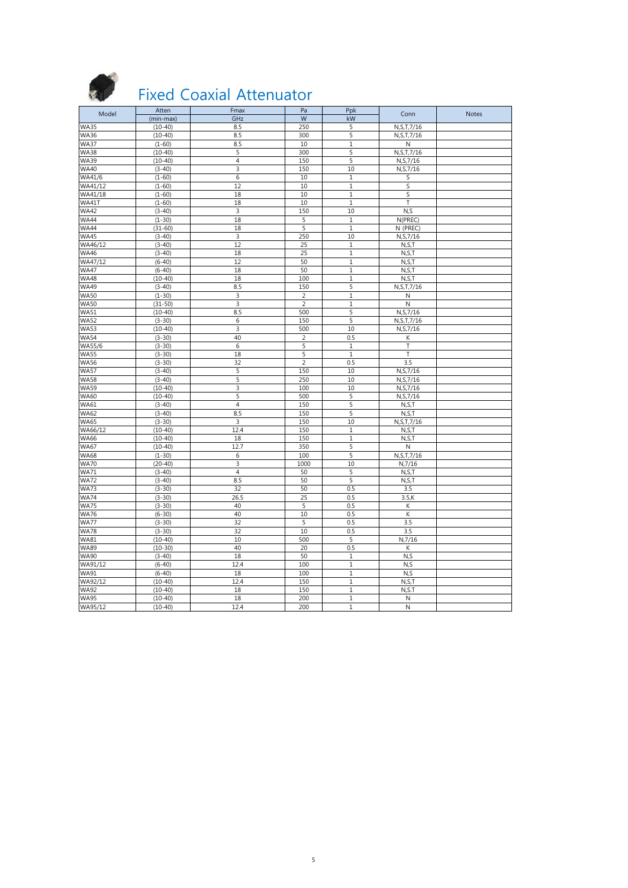

## Fixed Coaxial Attenuator

| Model                      | Atten       | Fmax           | Pa             | Ppk          | Conn               | <b>Notes</b> |
|----------------------------|-------------|----------------|----------------|--------------|--------------------|--------------|
|                            | (min-max)   | GHz            | W              | kW           |                    |              |
| <b>WA35</b>                | $(10-40)$   | 8.5            | 250            | 5            | N, S, T, 7/16      |              |
| <b>WA36</b>                | $(10-40)$   | 8.5            | 300            | 5            | N, S, T, 7/16      |              |
| <b>WA37</b>                | $(1-60)$    | 8.5            | 10             | 1            | N                  |              |
| <b>WA38</b>                | $(10-40)$   | 5              | 300            | 5            | N, S, T, 7/16      |              |
| <b>WA39</b>                | $(10-40)$   | $\overline{4}$ | 150            | 5            | N, S, 7/16         |              |
| <b>WA40</b>                | $(3-40)$    | 3              | 150            | 10           | N, S, 7/16         |              |
| WA41/6                     | $(1-60)$    | 6              | 10             | 1            | S                  |              |
| WA41/12                    | $(1-60)$    | 12             | 10             | $\mathbf 1$  | S                  |              |
| WA41/18                    | $(1-60)$    | 18             | 10             | $\mathbf{1}$ | S                  |              |
| WA41T                      | $(1-60)$    | 18             | 10             | $\mathbf 1$  | T                  |              |
| <b>WA42</b>                | $(3-40)$    | 3              | 150            | 10           | N, S               |              |
| <b>WA44</b>                | $(1 - 30)$  | 18             | 5              | $\,1\,$      | N(PREC)            |              |
| <b>WA44</b>                | $(31-60)$   | 18             | 5              | $\mathbf{1}$ | N (PREC)           |              |
| <b>WA45</b>                | $(3-40)$    | 3              | 250            | 10           | N, S, 7/16         |              |
| WA46/12                    | $(3 - 40)$  | 12             | 25             | 1            | N, S, T            |              |
| <b>WA46</b>                | $(3-40)$    | 18             | 25             | $\,1\,$      | N, S, T            |              |
| WA47/12                    | $(6-40)$    | 12             | 50             | 1            | N, S, T            |              |
| <b>WA47</b>                | $(6-40)$    | 18             | 50             | $\mathbf{1}$ | N, S, T            |              |
|                            | $(10-40)$   |                | 100            | $\mathbf 1$  |                    |              |
| <b>WA48</b><br><b>WA49</b> |             | 18<br>8.5      | 150            | 5            | N, S, T            |              |
|                            | $(3-40)$    |                |                |              | N, S, T, 7/16      |              |
| <b>WA50</b>                | $(1 - 30)$  | 3              | $\overline{2}$ | $\mathbf{1}$ | $\mathsf{N}$       |              |
| <b>WA50</b>                | $(31 - 50)$ | 3              | $\overline{2}$ | $\mathbf{1}$ | ${\sf N}$          |              |
| <b>WA51</b>                | $(10-40)$   | 8.5            | 500            | 5            | N, S, 7/16         |              |
| <b>WA52</b>                | $(3-30)$    | 6              | 150            | 5            | N, S, T, 7/16      |              |
| <b>WA53</b>                | $(10-40)$   | 3              | 500            | 10           | N, S, 7/16         |              |
| <b>WA54</b>                | $(3 - 30)$  | 40             | $\overline{2}$ | 0.5          | К                  |              |
| WA55/6                     | $(3 - 30)$  | 6              | 5              | $\mathbf{1}$ | T.                 |              |
| <b>WA55</b>                | $(3 - 30)$  | 18             | 5              | $\mathbf{1}$ | T                  |              |
| <b>WA56</b>                | $(3-30)$    | 32             | 2              | 0.5          | 3.5                |              |
| <b>WA57</b>                | $(3-40)$    | 5              | 150            | 10           | N, S, 7/16         |              |
| <b>WA58</b>                | $(3-40)$    | $\overline{5}$ | 250            | 10           | N, S, 7/16         |              |
| <b>WA59</b>                | $(10-40)$   | 3              | 100            | 10           | N, S, 7/16         |              |
| <b>WA60</b>                | $(10-40)$   | 5              | 500            | 5            | N, S, 7/16         |              |
| <b>WA61</b>                | $(3-40)$    | $\overline{4}$ | 150            | 5            | N, S, T            |              |
| <b>WA62</b>                | $(3-40)$    | 8.5            | 150            | 5            | N, S, T            |              |
| <b>WA65</b>                | $(3 - 30)$  | 3              | 150            | 10           | N, S, T, 7/16      |              |
| WA66/12                    | $(10-40)$   | 12.4           | 150            | 1            | N, S, T            |              |
| <b>WA66</b>                | $(10-40)$   | 18             | 150            | 1            | N, S, T            |              |
| <b>WA67</b>                | $(10-40)$   | 12.7           | 350            | 5            | $\mathsf{N}$       |              |
| <b>WA68</b>                | $(1 - 30)$  | 6              | 100            | 5            | N, S, T, 7/16      |              |
| <b>WA70</b>                | $(20-40)$   | 3              | 1000           | 10           | N,7/16             |              |
| <b>WA71</b>                | $(3-40)$    | $\overline{4}$ | 50             | 5            | N, S, T            |              |
| <b>WA72</b>                | $(3-40)$    | 8.5            | 50             | 5            | N, S, T            |              |
| <b>WA73</b>                | $(3 - 30)$  | 32             | 50             | 0.5          | 3.5                |              |
| <b>WA74</b>                | $(3 - 30)$  | 26.5           | 25             | 0.5          | $3.5$ <sub>K</sub> |              |
| <b>WA75</b>                | $(3 - 30)$  | 40             | 5              | 0.5          | Κ                  |              |
| <b>WA76</b>                | $(6 - 30)$  | 40             | 10             | 0.5          | К                  |              |
| <b>WA77</b>                | $(3 - 30)$  | 32             | 5              | 0.5          | 3.5                |              |
| <b>WA78</b>                | $(3 - 30)$  | 32             | 10             | 0.5          | 3.5                |              |
| <b>WA81</b>                | $(10-40)$   | 10             | 500            | 5            | N,7/16             |              |
| <b>WA89</b>                | $(10-30)$   | 40             | 20             | 0.5          | К                  |              |
| <b>WA90</b>                | $(3-40)$    | 18             | 50             | 1            | N, S               |              |
| WA91/12                    | $(6 - 40)$  | 12.4           | 100            | $\,1$        | N, S               |              |
| <b>WA91</b>                | $(6-40)$    | 18             | 100            | 1            | N, S               |              |
| WA92/12                    | $(10-40)$   | 12.4           | 150            | 1            | N, S, T            |              |
| <b>WA92</b>                | $(10-40)$   | 18             | 150            | $\mathbf{1}$ | N, S.T             |              |
| <b>WA95</b>                | $(10-40)$   | 18             | 200            | 1            | ${\sf N}$          |              |
| WA95/12                    | $(10-40)$   | 12.4           | 200            | $\mathbf{1}$ | $\mathsf N$        |              |
|                            |             |                |                |              |                    |              |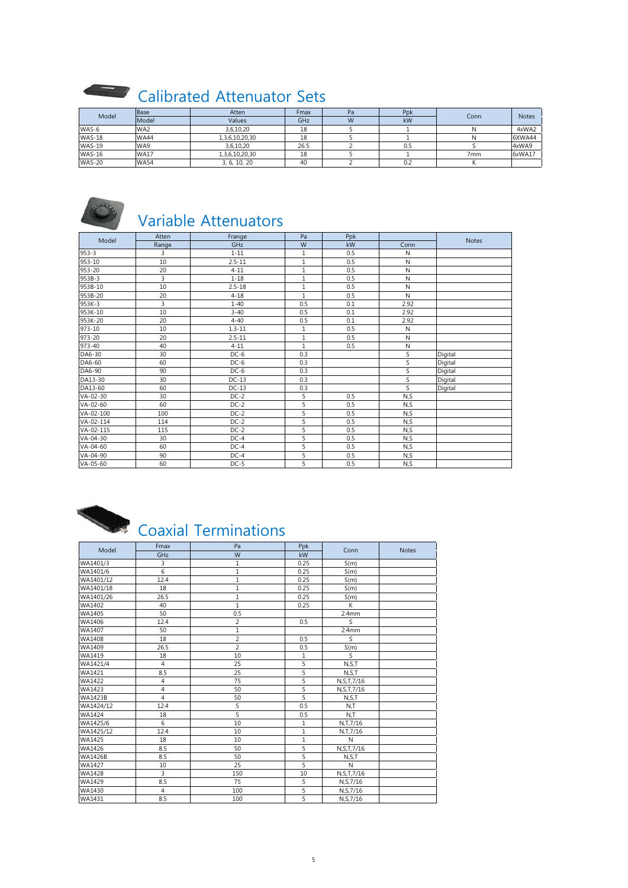### Calibrated Attenuator Sets

| Model         | <b>Base</b>     | Atten          | Fmax | Pa | Ppk | Conn | <b>Notes</b> |
|---------------|-----------------|----------------|------|----|-----|------|--------------|
|               | Model           | Values         | GHz  | W  | kW  |      |              |
| WAS-6         | WA <sub>2</sub> | 3,6,10,20      | 18   |    |     |      | 4xWA2        |
| <b>WAS-18</b> | <b>WA44</b>     | 1,3,6,10,20,30 | 18   |    |     |      | 6XWA44       |
| <b>WAS-19</b> | WA9             | 3,6,10,20      | 26.5 |    | U.5 |      | 4xWA9        |
| <b>WAS-16</b> | <b>WA17</b>     | 1,3,6,10,20,30 | 18   |    |     | 7mm  | 6xWA17       |
| <b>WAS-20</b> | <b>WA54</b>     | 3, 6, 10, 20   | 40   |    | 0.2 |      |              |



## Variable Attenuators

| Model     | Atten | Frange     | Pa             | Ppk |              | Notes   |
|-----------|-------|------------|----------------|-----|--------------|---------|
|           | Range | GHz        | W              | kW  | Conn         |         |
| $953 - 3$ | 3     | $1 - 11$   | $\mathbf{1}$   | 0.5 | $\mathsf{N}$ |         |
| 953-10    | 10    | $2.5 - 11$ | 1              | 0.5 | $\mathsf{N}$ |         |
| 953-20    | 20    | $4 - 11$   | $\mathbf{1}$   | 0.5 | N            |         |
| 953B-3    | 3     | $1 - 18$   | 1              | 0.5 | $\mathsf{N}$ |         |
| 953B-10   | 10    | $2.5 - 18$ | 1              | 0.5 | $\mathsf{N}$ |         |
| 953B-20   | 20    | $4 - 18$   | $\mathbf{1}$   | 0.5 | $\mathsf{N}$ |         |
| 953K-3    | 3     | $1 - 40$   | 0.5            | 0.1 | 2.92         |         |
| 953K-10   | 10    | $3 - 40$   | 0.5            | 0.1 | 2.92         |         |
| 953K-20   | 20    | $4 - 40$   | 0.5            | 0.1 | 2.92         |         |
| 973-10    | 10    | $1.3 - 11$ | $\mathbf{1}$   | 0.5 | N            |         |
| 973-20    | 20    | $2.5 - 11$ | $\mathbf{1}$   | 0.5 | N            |         |
| 973-40    | 40    | $4 - 11$   | $\mathbf{1}$   | 0.5 | ${\sf N}$    |         |
| DA6-30    | 30    | $DC-6$     | 0.3            |     | S            | Digital |
| DA6-60    | 60    | $DC-6$     | 0.3            |     | S            | Digital |
| DA6-90    | 90    | $DC-6$     | 0.3            |     | S            | Digital |
| DA13-30   | 30    | $DC-13$    | 0.3            |     | S            | Digital |
| DA13-60   | 60    | $DC-13$    | 0.3            |     | S            | Digital |
| VA-02-30  | 30    | $DC-2$     | 5              | 0.5 | N, S         |         |
| VA-02-60  | 60    | $DC-2$     | 5              | 0.5 | N, S         |         |
| VA-02-100 | 100   | $DC-2$     | 5              | 0.5 | N, S         |         |
| VA-02-114 | 114   | $DC-2$     | $\overline{5}$ | 0.5 | N, S         |         |
| VA-02-115 | 115   | $DC-2$     | 5              | 0.5 | N, S         |         |
| VA-04-30  | 30    | $DC-4$     | 5              | 0.5 | N, S         |         |
| VA-04-60  | 60    | $DC-4$     | $\overline{5}$ | 0.5 | N, S         |         |
| VA-04-90  | 90    | $DC-4$     | 5              | 0.5 | N, S         |         |
| VA-05-60  | 60    | $DC-5$     | 5              | 0.5 | N, S         |         |

# Coaxial Terminations

| Model          | Fmax           | Pa             | Ppk            | Conn                    | <b>Notes</b> |
|----------------|----------------|----------------|----------------|-------------------------|--------------|
|                | GHz            | W              | kW             |                         |              |
| WA1401/3       | 3              | 1              | 0.25           | S(m)                    |              |
| WA1401/6       | 6              | 1              | 0.25           | S(m)                    |              |
| WA1401/12      | 12.4           | $\mathbf{1}$   | 0.25           | S(m)                    |              |
| WA1401/18      | 18             | $\mathbf{1}$   | 0.25           | S(m)                    |              |
| WA1401/26      | 26.5           | 1              | 0.25           | S(m)                    |              |
| WA1402         | 40             | $\mathbf{1}$   | 0.25           | K                       |              |
| WA1405         | 50             | 0.5            |                | 2.4 <sub>mm</sub>       |              |
| WA1406         | 12.4           | $\overline{2}$ | 0.5            | $\overline{\mathsf{S}}$ |              |
| WA1407         | 50             | 1              |                | 2.4mm                   |              |
| WA1408         | 18             | $\overline{2}$ | 0.5            | S.                      |              |
| WA1409         | 26.5           | $\overline{2}$ | 0.5            | S(m)                    |              |
| WA1419         | 18             | 10             | 1              | S                       |              |
| WA1421/4       | $\overline{4}$ | 25             | 5              | N, S, T                 |              |
| WA1421         | 8.5            | 25             | 5              | N, S, T                 |              |
| WA1422         | 4              | 75             | 5              | N, S, T, 7/16           |              |
| WA1423         | $\sqrt{4}$     | 50             | 5              | N, S, T, 7/16           |              |
| <b>WA1423B</b> | $\overline{4}$ | 50             | 5              | N, S, T                 |              |
| WA1424/12      | 12.4           | 5              | 0.5            | N,T                     |              |
| WA1424         | 18             | $\overline{5}$ | 0.5            | N,T                     |              |
| WA1425/6       | $6\phantom{1}$ | 10             | $\mathbf{1}$   | N, T, 7/16              |              |
| WA1425/12      | 12.4           | 10             | $\,1\,$        | N, T, 7/16              |              |
| WA1425         | 18             | 10             | $\mathbf{1}$   | N                       |              |
| WA1426         | 8.5            | 50             | 5              | N, S, T, 7/16           |              |
| <b>WA1426B</b> | 8.5            | 50             | 5              | N, S, T                 |              |
| WA1427         | 10             | 25             | $\overline{5}$ | $\mathsf{N}$            |              |
| WA1428         | 3              | 150            | 10             | N, S, T, 7/16           |              |
| WA1429         | 8.5            | 75             | 5              | N, S, 7/16              |              |
| WA1430         | $\overline{4}$ | 100            | 5              | N, S, 7/16              |              |
| WA1431         | 8.5            | 100            | 5              | N, S, 7/16              |              |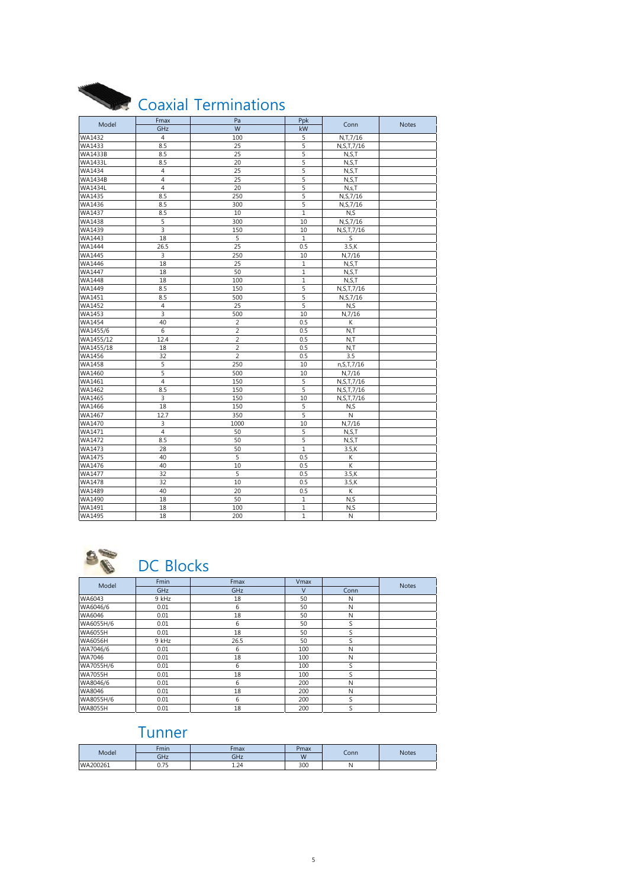|                | Fmax           | Coaxial Terminations<br>Pa | Ppk          |               |              |
|----------------|----------------|----------------------------|--------------|---------------|--------------|
| Model          | GHz            | $\overline{W}$             | kW           | Conn          | <b>Notes</b> |
| WA1432         | $\overline{4}$ | 100                        | 5            | N,T,7/16      |              |
| WA1433         | 8.5            | 25                         | 5            | N, S, T, 7/16 |              |
| <b>WA1433B</b> | 8.5            | 25                         | 5            | N, S, T       |              |
| <b>WA1433L</b> | 8.5            | 20                         | 5            | N, S, T       |              |
| WA1434         | 4              | 25                         | 5            | N, S, T       |              |
| <b>WA1434B</b> | 4              | 25                         | 5            | N, S, T       |              |
| <b>WA1434L</b> | $\overline{4}$ | 20                         | 5            | N,s,T         |              |
| WA1435         | 8.5            | 250                        | 5            | N, S, 7/16    |              |
| WA1436         | 8.5            | 300                        | 5            | N, S, 7/16    |              |
| WA1437         | 8.5            | 10                         | $\mathbf{1}$ | N, S          |              |
| <b>WA1438</b>  | 5              | 300                        | 10           | N, S, 7/16    |              |
| WA1439         | 3              | 150                        | 10           | N, S, T, 7/16 |              |
| WA1443         | 18             | 5                          | $\mathbf{1}$ | S             |              |
| <b>WA1444</b>  | 26.5           | 25                         | 0.5          | $3.5$ , K     |              |
| <b>WA1445</b>  | 3              | 250                        | 10           | N,7/16        |              |
| WA1446         | 18             | 25                         | $\mathbf{1}$ | N, S, T       |              |
| WA1447         | 18             | 50                         | 1            | N, S, T       |              |
| WA1448         | 18             | 100                        | $\mathbf{1}$ | N, S, T       |              |
| WA1449         | 8.5            | 150                        | 5            | N, S, T, 7/16 |              |
| WA1451         | 8.5            | 500                        | 5            | N, S, 7/16    |              |
| WA1452         | $\overline{4}$ | 25                         | 5            | N, S          |              |
| WA1453         | 3              | 500                        | 10           | N,7/16        |              |
| <b>WA1454</b>  | 40             | $\overline{2}$             | 0.5          | К             |              |
| WA1455/6       | 6              | $\overline{2}$             | 0.5          | N,T           |              |
| WA1455/12      | 12.4           | $\overline{2}$             | 0.5          | N, T          |              |
| WA1455/18      | 18             | $\overline{2}$             | 0.5          | N,T           |              |
| WA1456         | 32             | $\overline{2}$             | 0.5          | 3.5           |              |
| WA1458         | 5              | 250                        | 10           | n, S, T, 7/16 |              |
| WA1460         | 5              | 500                        | 10           | N,7/16        |              |
| WA1461         | 4              | 150                        | 5            | N, S, T, 7/16 |              |
| WA1462         | 8.5            | 150                        | 5            | N, S, T, 7/16 |              |
| WA1465         | 3              | 150                        | 10           | N, S, T, 7/16 |              |
| WA1466         | 18             | 150                        | 5            | N, S          |              |
| WA1467         | 12.7           | 350                        | 5            | N             |              |
| WA1470         | 3              | 1000                       | 10           | N.7/16        |              |
| WA1471         | $\overline{4}$ | 50                         | 5            | N.S.T         |              |
| WA1472         | 8.5            | 50                         | 5            | N, S, T       |              |
| WA1473         | 28             | 50                         | 1            | $3.5$ , K     |              |
| WA1475         | 40             | 5                          | 0.5          | К             |              |
| WA1476         | 40             | 10                         | 0.5          | K             |              |
| WA1477         | 32             | 5                          | 0.5          | $3.5$ , K     |              |
| WA1478         | 32             | 10                         | 0.5          | $3.5$ , K     |              |
| WA1489         | 40             | 20                         | 0.5          | К             |              |
| WA1490         | 18             | 50                         | 1            | N, S          |              |
| WA1491         | 18             | 100                        | $\mathbf{1}$ | N, S          |              |
| WA1495         | 18             | 200                        | $\mathbf{1}$ | N             |              |



### DC Blocks

| Model          | Fmin       | Fmax | Vmax   |      | <b>Notes</b> |
|----------------|------------|------|--------|------|--------------|
|                | <b>GHz</b> | GHz  | $\vee$ | Conn |              |
| WA6043         | 9 kHz      | 18   | 50     | N    |              |
| WA6046/6       | 0.01       | 6    | 50     | N    |              |
| WA6046         | 0.01       | 18   | 50     | N    |              |
| WA6055H/6      | 0.01       | 6    | 50     | S    |              |
| WA6055H        | 0.01       | 18   | 50     | S    |              |
| WA6056H        | 9 kHz      | 26.5 | 50     | ς    |              |
| WA7046/6       | 0.01       | 6    | 100    | N    |              |
| WA7046         | 0.01       | 18   | 100    | N    |              |
| WA7055H/6      | 0.01       | 6    | 100    | ς    |              |
| <b>WA7055H</b> | 0.01       | 18   | 100    | S    |              |
| WA8046/6       | 0.01       | 6    | 200    | N    |              |
| WA8046         | 0.01       | 18   | 200    | N    |              |
| WA8055H/6      | 0.01       | 6    | 200    | ς    |              |
| WA8055H        | 0.01       | 18   | 200    | S    |              |

#### Tunner

| Model    | Fmin                          | Fmax       | <sup>2</sup> max | Conn | <b>Notes</b> |
|----------|-------------------------------|------------|------------------|------|--------------|
|          | - 12<br>unz                   |            | W                |      |              |
| WA200261 | $\overline{\phantom{a}}$<br>◡ | . <b>.</b> | 300              | A.   |              |